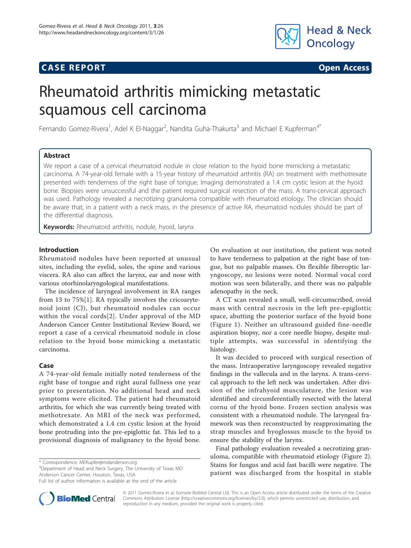## **CASE REPORT CASE REPORT CASE REPORT**



# Rheumatoid arthritis mimicking metastatic squamous cell carcinoma

Fernando Gomez-Rivera<sup>1</sup>, Adel K El-Naggar<sup>2</sup>, Nandita Guha-Thakurta<sup>3</sup> and Michael E Kupferman<sup>4\*</sup>

## Abstract

We report a case of a cervical rheumatoid nodule in close relation to the hyoid bone mimicking a metastatic carcinoma. A 74-year-old female with a 15-year history of rheumatoid arthritis (RA) on treatment with methotrexate presented with tenderness of the right base of tongue. Imaging demonstrated a 1.4 cm cystic lesion at the hyoid bone. Biopsies were unsuccessful and the patient required surgical resection of the mass. A trans-cervical approach was used. Pathology revealed a necrotizing granuloma compatible with rheumatoid etiology. The clinician should be aware that, in a patient with a neck mass, in the presence of active RA, rheumatoid nodules should be part of the differential diagnosis.

Keywords: Rheumatoid arthritis, nodule, hyoid, larynx

## Introduction

Rheumatoid nodules have been reported at unusual sites, including the eyelid, soles, the spine and various viscera. RA also can affect the larynx, ear and nose with various otorhinolaryngological manifestations.

The incidence of laryngeal involvement in RA ranges from 13 to 75%[\[1](#page-2-0)]. RA typically involves the cricoarytenoid joint (CJ), but rheumatoid nodules can occur within the vocal cords[[2](#page-2-0)]. Under approval of the MD Anderson Cancer Center Institutional Review Board, we report a case of a cervical rheumatoid nodule in close relation to the hyoid bone mimicking a metastatic carcinoma.

## Case

A 74-year-old female initially noted tenderness of the right base of tongue and right aural fullness one year prior to presentation. No additional head and neck symptoms were elicited. The patient had rheumatoid arthritis, for which she was currently being treated with methotrexate. An MRI of the neck was performed, which demonstrated a 1.4 cm cystic lesion at the hyoid bone protruding into the pre-epiglottic fat. This led to a provisional diagnosis of malignancy to the hyoid bone.

\* Correspondence: [MEKupfer@mdanderson.org](mailto:MEKupfer@mdanderson.org)

4 Department of Head and Neck Surgery, The University of Texas MD Anderson Cancer Center, Houston, Texas, USA



A CT scan revealed a small, well-circumscribed, ovoid mass with central necrosis in the left pre-epiglottic space, abutting the posterior surface of the hyoid bone (Figure [1\)](#page-1-0). Neither an ultrasound guided fine-needle aspiration biopsy, nor a core needle biopsy, despite multiple attempts, was successful in identifying the histology.

It was decided to proceed with surgical resection of the mass. Intraoperative laryngoscopy revealed negative findings in the vallecula and in the larynx. A trans-cervical approach to the left neck was undertaken. After division of the infrahyoid musculature, the lesion was identified and circumferentially resected with the lateral cornu of the hyoid bone. Frozen section analysis was consistent with a rheumatoid nodule. The laryngeal framework was then reconstructed by reapproximating the strap muscles and hyoglossus muscle to the hyoid to ensure the stability of the larynx.

Final pathology evaluation revealed a necrotizing granuloma, compatible with rheumatoid etiology (Figure [2](#page-1-0)). Stains for fungus and acid fast bacilli were negative. The patient was discharged from the hospital in stable



© 2011 Gomez-Rivera et al; licensee BioMed Central Ltd. This is an Open Access article distributed under the terms of the Creative Commons Attribution License [\(http://creativecommons.org/licenses/by/2.0](http://creativecommons.org/licenses/by/2.0)), which permits unrestricted use, distribution, and reproduction in any medium, provided the original work is properly cited.

Full list of author information is available at the end of the article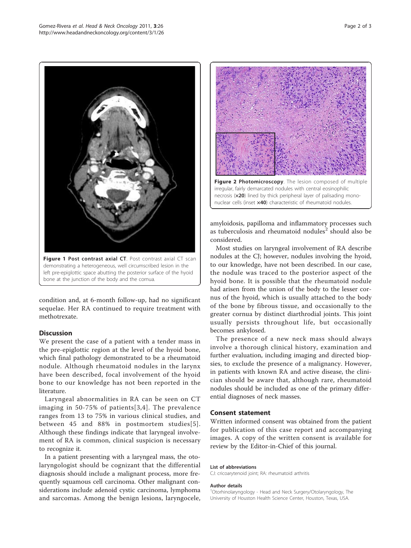<span id="page-1-0"></span>

condition and, at 6-month follow-up, had no significant sequelae. Her RA continued to require treatment with methotrexate.

## **Discussion**

We present the case of a patient with a tender mass in the pre-epiglottic region at the level of the hyoid bone, which final pathology demonstrated to be a rheumatoid nodule. Although rheumatoid nodules in the larynx have been described, focal involvement of the hyoid bone to our knowledge has not been reported in the literature.

Laryngeal abnormalities in RA can be seen on CT imaging in 50-75% of patients[[3](#page-2-0),[4](#page-2-0)]. The prevalence ranges from 13 to 75% in various clinical studies, and between 45 and 88% in postmortem studies[[5\]](#page-2-0). Although these findings indicate that laryngeal involvement of RA is common, clinical suspicion is necessary to recognize it.

In a patient presenting with a laryngeal mass, the otolaryngologist should be cognizant that the differential diagnosis should include a malignant process, more frequently squamous cell carcinoma. Other malignant considerations include adenoid cystic carcinoma, lymphoma and sarcomas. Among the benign lesions, laryngocele,



amyloidosis, papilloma and inflammatory processes such as tuberculosis and rheumatoid nodules<sup>2</sup> should also be considered.

Most studies on laryngeal involvement of RA describe nodules at the CJ; however, nodules involving the hyoid, to our knowledge, have not been described. In our case, the nodule was traced to the posterior aspect of the hyoid bone. It is possible that the rheumatoid nodule had arisen from the union of the body to the lesser cornus of the hyoid, which is usually attached to the body of the bone by fibrous tissue, and occasionally to the greater cornua by distinct diarthrodial joints. This joint usually persists throughout life, but occasionally becomes ankylosed.

The presence of a new neck mass should always involve a thorough clinical history, examination and further evaluation, including imaging and directed biopsies, to exclude the presence of a malignancy. However, in patients with known RA and active disease, the clinician should be aware that, although rare, rheumatoid nodules should be included as one of the primary differential diagnoses of neck masses.

### Consent statement

Written informed consent was obtained from the patient for publication of this case report and accompanying images. A copy of the written consent is available for review by the Editor-in-Chief of this journal.

#### List of abbreviations

CJ: cricoarytenoid joint; RA: rheumatoid arthritis

#### Author details

<sup>1</sup>Otorhinolaryngology - Head and Neck Surgery/Otolaryngology, The University of Houston Health Science Center, Houston, Texas, USA.